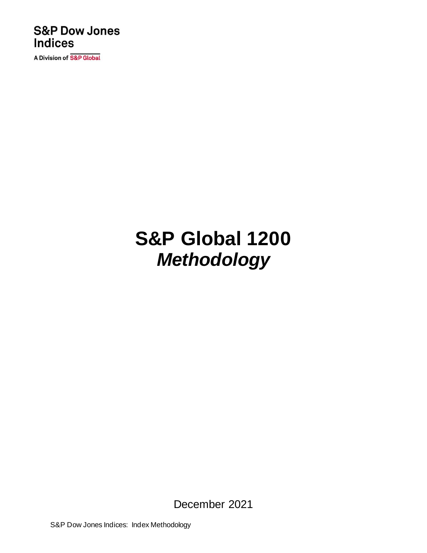### **S&P Dow Jones Indices**

A Division of S&P Global

# **S&P Global 1200** *Methodology*

December 2021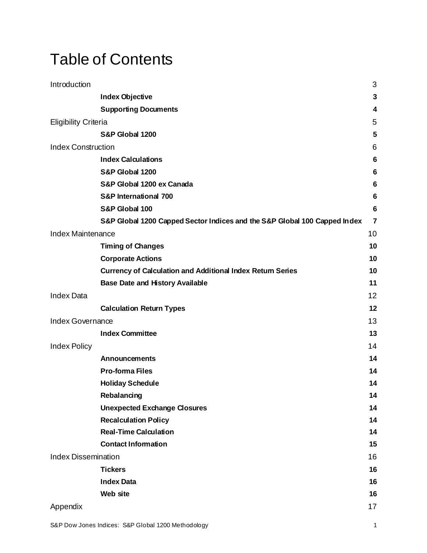### Table of Contents

| Introduction                |                                                                           | 3              |
|-----------------------------|---------------------------------------------------------------------------|----------------|
|                             | <b>Index Objective</b>                                                    | 3              |
|                             | <b>Supporting Documents</b>                                               | 4              |
| <b>Eligibility Criteria</b> |                                                                           | 5              |
|                             | S&P Global 1200                                                           | 5              |
| <b>Index Construction</b>   |                                                                           | 6              |
|                             | <b>Index Calculations</b>                                                 | 6              |
|                             | S&P Global 1200                                                           | 6              |
|                             | S&P Global 1200 ex Canada                                                 | 6              |
|                             | S&P International 700                                                     | 6              |
|                             | S&P Global 100                                                            | 6              |
|                             | S&P Global 1200 Capped Sector Indices and the S&P Global 100 Capped Index | $\overline{7}$ |
| <b>Index Maintenance</b>    |                                                                           | 10             |
|                             | <b>Timing of Changes</b>                                                  | 10             |
|                             | <b>Corporate Actions</b>                                                  | 10             |
|                             | <b>Currency of Calculation and Additional Index Return Series</b>         | 10             |
|                             | <b>Base Date and History Available</b>                                    | 11             |
| <b>Index Data</b>           |                                                                           | 12             |
|                             | <b>Calculation Return Types</b>                                           | 12             |
| <b>Index Governance</b>     |                                                                           | 13             |
|                             | <b>Index Committee</b>                                                    | 13             |
| <b>Index Policy</b>         |                                                                           | 14             |
|                             | <b>Announcements</b>                                                      | 14             |
|                             | <b>Pro-forma Files</b>                                                    | 14             |
|                             | <b>Holiday Schedule</b>                                                   | 14             |
|                             | Rebalancing                                                               | 14             |
|                             | <b>Unexpected Exchange Closures</b>                                       | 14             |
|                             | <b>Recalculation Policy</b>                                               | 14             |
|                             | <b>Real-Time Calculation</b>                                              | 14             |
|                             | <b>Contact Information</b>                                                | 15             |
| <b>Index Dissemination</b>  |                                                                           | 16             |
|                             | <b>Tickers</b>                                                            | 16             |
|                             | <b>Index Data</b>                                                         | 16             |
|                             | Web site                                                                  | 16             |
| Appendix                    |                                                                           | 17             |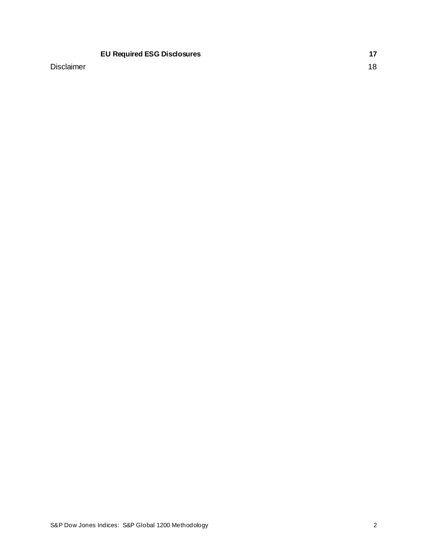### **[EU Required ESG Disclosures](#page-17-1) 17**

### [Disclaimer](#page-18-0) **18**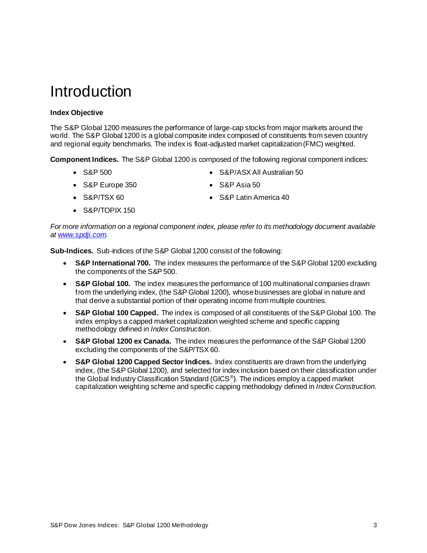### <span id="page-3-0"></span>Introduction

### <span id="page-3-1"></span>**Index Objective**

The S&P Global 1200 measures the performance of large-cap stocks from major markets around the world. The S&P Global 1200 is a global composite index composed of constituents from seven country and regional equity benchmarks. The index is float-adjusted market capitalization (FMC) weighted.

**Component Indices.** The S&P Global 1200 is composed of the following regional component indices:

- 
- S&P 500 S&P/ASX All Australian 50
- S&P Europe 350 S&P Asia 50
	-
- $S\&P/TSX 60$   $S\&P$  Latin America 40
- 

• S&P/TOPIX 150

*For more information on a regional component index, please refer to its methodology document available at [www.spdji.com](http://www.spdji.com/).*

**Sub-Indices.** Sub-indices of the S&P Global 1200 consist of the following:

- **S&P International 700.** The index measures the performance of the S&P Global 1200 excluding the components of the S&P 500.
- **S&P Global 100.** The index measures the performance of 100 multinational companies drawn from the underlying index, (the S&P Global 1200), whose businesses are global in nature and that derive a substantial portion of their operating income from multiple countries.
- **S&P Global 100 Capped.** The index is composed of all constituents of the S&P Global 100. The index employs a capped market capitalization weighted scheme and specific capping methodology defined in *Index Construction*.
- **S&P Global 1200 ex Canada.** The index measures the performance of the S&P Global 1200 excluding the components of the S&P/TSX 60.
- **S&P Global 1200 Capped Sector Indices.** Index constituents are drawn from the underlying index, (the S&P Global 1200), and selected for index inclusion based on their classification under the Global Industry Classification Standard (GICS® ). The indices employ a capped market capitalization weighting scheme and specific capping methodology defined in *Index Construction*.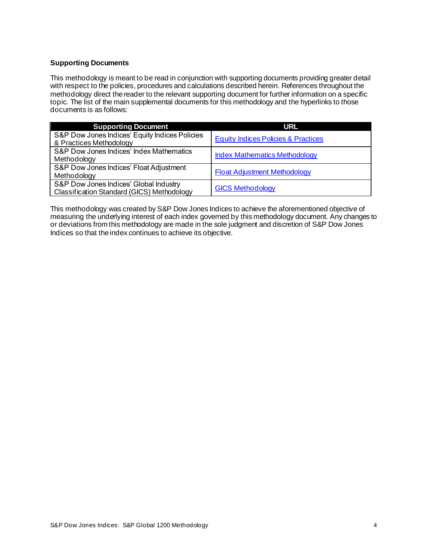### <span id="page-4-0"></span>**Supporting Documents**

This methodology is meant to be read in conjunction with supporting documents providing greater detail with respect to the policies, procedures and calculations described herein. References throughout the methodology direct the reader to the relevant supporting document for further information on a specific topic. The list of the main supplemental documents for this methodology and the hyperlinks to those documents is as follows:

| <b>Supporting Document</b>                     | <b>URL</b>                                     |  |
|------------------------------------------------|------------------------------------------------|--|
| S&P Dow Jones Indices' Equity Indices Policies | <b>Equity Indices Policies &amp; Practices</b> |  |
| & Practices Methodology                        |                                                |  |
| S&P Dow Jones Indices' Index Mathematics       |                                                |  |
| Methodology                                    | <b>Index Mathematics Methodology</b>           |  |
| S&P Dow Jones Indices' Float Adjustment        | <b>Float Adjustment Methodology</b>            |  |
| Methodology                                    |                                                |  |
| S&P Dow Jones Indices' Global Industry         |                                                |  |
| Classification Standard (GICS) Methodology     | <b>GICS Methodology</b>                        |  |

This methodology was created by S&P Dow Jones Indices to achieve the aforementioned objective of measuring the underlying interest of each index governed by this methodology document. Any changes to or deviations from this methodology are made in the sole judgment and discretion of S&P Dow Jones Indices so that the index continues to achieve its objective.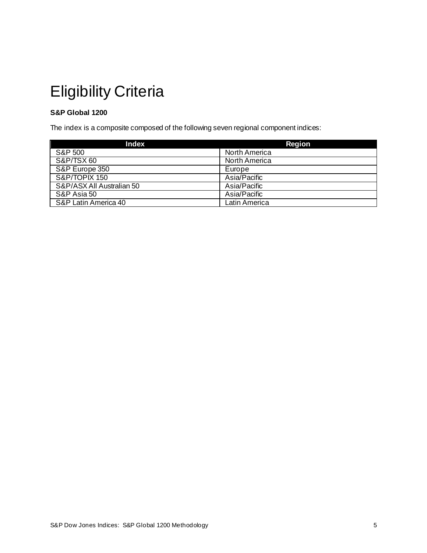## <span id="page-5-0"></span>Eligibility Criteria

### <span id="page-5-1"></span>**S&P Global 1200**

The index is a composite composed of the following seven regional component indices:

| I<br><b>Index</b>         | Region        |
|---------------------------|---------------|
| S&P 500                   | North America |
| <b>S&amp;P/TSX 60</b>     | North America |
| S&P Europe 350            | Europe        |
| S&P/TOPIX 150             | Asia/Pacific  |
| S&P/ASX All Australian 50 | Asia/Pacific  |
| S&P Asia 50               | Asia/Pacific  |
| S&P Latin America 40      | Latin America |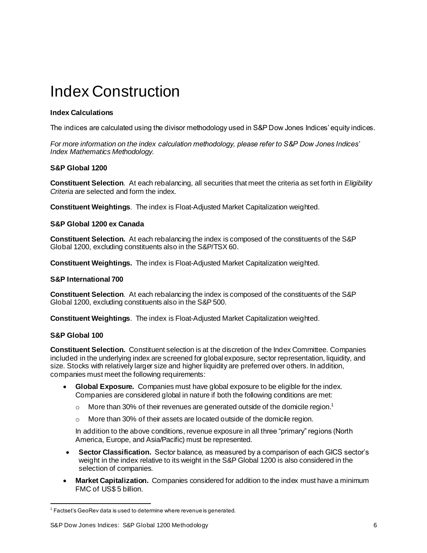### <span id="page-6-0"></span>Index Construction

### <span id="page-6-1"></span>**Index Calculations**

The indices are calculated using the divisor methodology used in S&P Dow Jones Indices' equity indices.

*For more information on the index calculation methodology, please refer to S&P Dow Jones Indices' Index Mathematics Methodology.*

### <span id="page-6-2"></span>**S&P Global 1200**

**Constituent Selection**. At each rebalancing, all securities that meet the criteria as set forth in *Eligibility Criteria* are selected and form the index.

<span id="page-6-3"></span>**Constituent Weightings**. The index is Float-Adjusted Market Capitalization weighted.

### **S&P Global 1200 ex Canada**

**Constituent Selection.** At each rebalancing the index is composed of the constituents of the S&P Global 1200, excluding constituents also in the S&P/TSX 60.

<span id="page-6-4"></span>**Constituent Weightings.** The index is Float-Adjusted Market Capitalization weighted.

#### **S&P International 700**

**Constituent Selection**. At each rebalancing the index is composed of the constituents of the S&P Global 1200, excluding constituents also in the S&P 500.

<span id="page-6-5"></span>**Constituent Weightings**. The index is Float-Adjusted Market Capitalization weighted.

#### **S&P Global 100**

**Constituent Selection.** Constituent selection is at the discretion of the Index Committee. Companies included in the underlying index are screened for global exposure, sector representation, liquidity, and size. Stocks with relatively larger size and higher liquidity are preferred over others. In addition, companies must meet the following requirements:

- **Global Exposure.** Companies must have global exposure to be eligible for the index. Companies are considered global in nature if both the following conditions are met:
	- $\circ$  More than 30% of their revenues are generated outside of the domicile region.<sup>1</sup>
	- o More than 30% of their assets are located outside of the domicile region.

In addition to the above conditions, revenue exposure in all three "primary" regions (North America, Europe, and Asia/Pacific) must be represented.

- **Sector Classification.** Sector balance, as measured by a comparison of each GICS sector's weight in the index relative to its weight in the S&P Global 1200 is also considered in the selection of companies.
- **Market Capitalization.** Companies considered for addition to the index must have a minimum FMC of US\$ 5 billion.

 $^1$  Factset's GeoRev data is used to determine where revenue is generated.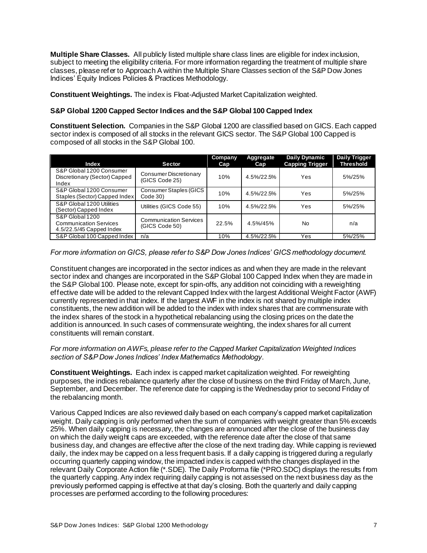**Multiple Share Classes.** All publicly listed multiple share class lines are eligible for index inclusion, subject to meeting the eligibility criteria. For more information regarding the treatment of multiple share classes, please refer to Approach A within the Multiple Share Classes section of the S&P Dow Jones Indices' Equity Indices Policies & Practices Methodology.

<span id="page-7-0"></span>**Constituent Weightings.** The index is Float-Adjusted Market Capitalization weighted.

### **S&P Global 1200 Capped Sector Indices and the S&P Global 100 Capped Index**

**Constituent Selection.** Companies in the S&P Global 1200 are classified based on GICS. Each capped sector index is composed of all stocks in the relevant GICS sector. The S&P Global 100 Capped is composed of all stocks in the S&P Global 100.

| Index                                                                        | <b>Sector</b>                                   | Company<br>Cap | Aggregate<br>Cap | <b>Daily Dynamic</b><br><b>Capping Trigger</b> | Daily Trigger<br><b>Threshold</b> |
|------------------------------------------------------------------------------|-------------------------------------------------|----------------|------------------|------------------------------------------------|-----------------------------------|
| S&P Global 1200 Consumer<br>Discretionary (Sector) Capped<br>Index           | Consumer Discretionary<br>(GICS Code 25)        | 10%            | 4.5%/22.5%       | Yes                                            | 5%/25%                            |
| S&P Global 1200 Consumer<br>Staples (Sector) Capped Index                    | Consumer Staples (GICS<br>Code 30)              | 10%            | $4.5\%/22.5\%$   | Yes                                            | 5%/25%                            |
| S&P Global 1200 Utilities<br>(Sector) Capped Index                           | Utilities (GICS Code 55)                        | 10%            | 4.5%/22.5%       | Yes                                            | 5%/25%                            |
| S&P Global 1200<br><b>Communication Services</b><br>4.5/22.5/45 Capped Index | <b>Communication Services</b><br>(GICS Code 50) | 22.5%          | 4.5%/45%         | <b>No</b>                                      | n/a                               |
| S&P Global 100 Capped Index                                                  | n/a                                             | 10%            | 4.5%/22.5%       | Yes                                            | 5%/25%                            |

### *For more information on GICS, please refer to S&P Dow Jones Indices' GICS methodology document.*

Constituent changes are incorporated in the sector indices as and when they are made in the relevant sector index and changes are incorporated in the S&P Global 100 Capped Index when they are made in the S&P Global 100. Please note, except for spin-offs, any addition not coinciding with a reweighting effective date will be added to the relevant Capped Index with the largest Additional Weight Factor (AWF) currently represented in that index. If the largest AWF in the index is not shared by multiple index constituents, the new addition will be added to the index with index shares that are commensurate with the index shares of the stock in a hypothetical rebalancing using the closing prices on the date the addition is announced. In such cases of commensurate weighting, the index shares for all current constituents will remain constant.

### *For more information on AWFs, please refer to the Capped Market Capitalization Weighted Indices section of S&P Dow Jones Indices' Index Mathematics Methodology.*

**Constituent Weightings.** Each index is capped market capitalization weighted. For reweighting purposes, the indices rebalance quarterly after the close of business on the third Friday of March, June, September, and December. The reference date for capping is the Wednesday prior to second Friday of the rebalancing month.

Various Capped Indices are also reviewed daily based on each company's capped market capitalization weight. Daily capping is only performed when the sum of companies with weight greater than 5% exceeds 25%. When daily capping is necessary, the changes are announced after the close of the business day on which the daily weight caps are exceeded, with the reference date after the close of that same business day, and changes are effective after the close of the next trading day. While capping is reviewed daily, the index may be capped on a less frequent basis. If a daily capping is triggered during a regularly occurring quarterly capping window, the impacted index is capped with the changes displayed in the relevant Daily Corporate Action file (\*.SDE). The Daily Proforma file (\*PRO.SDC) displays the results from the quarterly capping. Any index requiring daily capping is not assessed on the next business day as the previously performed capping is effective at that day's closing. Both the quarterly and daily capping processes are performed according to the following procedures: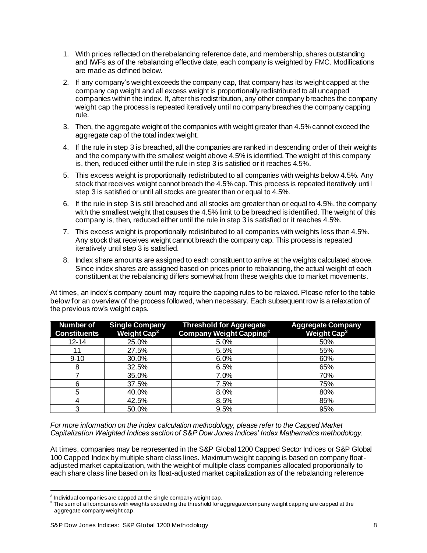- 1. With prices reflected on the rebalancing reference date, and membership, shares outstanding and IWFs as of the rebalancing effective date, each company is weighted by FMC. Modifications are made as defined below.
- 2. If any company's weight exceeds the company cap, that company has its weight capped at the company cap weight and all excess weight is proportionally redistributed to all uncapped companies within the index. If, after this redistribution, any other company breaches the company weight cap the process is repeated iteratively until no company breaches the company capping rule.
- 3. Then, the aggregate weight of the companies with weight greater than 4.5% cannot exceed the aggregate cap of the total index weight.
- 4. If the rule in step 3 is breached, all the companies are ranked in descending order of their weights and the company with the smallest weight above 4.5% is identified. The weight of this company is, then, reduced either until the rule in step 3 is satisfied or it reaches 4.5%.
- 5. This excess weight is proportionally redistributed to all companies with weights below 4.5%. Any stock that receives weight cannot breach the 4.5% cap. This process is repeated iteratively until step 3 is satisfied or until all stocks are greater than or equal to 4.5%.
- 6. If the rule in step 3 is still breached and all stocks are greater than or equal to 4.5%, the company with the smallest weight that causes the 4.5% limit to be breached is identified. The weight of this company is, then, reduced either until the rule in step 3 is satisfied or it reaches 4.5%.
- 7. This excess weight is proportionally redistributed to all companies with weights less than 4.5%. Any stock that receives weight cannot breach the company cap. This process is repeated iteratively until step 3 is satisfied.
- 8. Index share amounts are assigned to each constituent to arrive at the weights calculated above. Since index shares are assigned based on prices prior to rebalancing, the actual weight of each constituent at the rebalancing differs somewhat from these weights due to market movements.

At times, an index's company count may require the capping rules to be relaxed. Please refer to the table below for an overview of the process followed, when necessary. Each subsequent row is a relaxation of the previous row's weight caps.

| Number of<br><b>Constituents</b> | <b>Single Company</b><br>Weight Cap <sup>2</sup> | <b>Threshold for Aggregate</b><br><b>Company Weight Capping<sup>2</sup></b> | <b>Aggregate Company</b><br>Weight Cap <sup>3</sup> |
|----------------------------------|--------------------------------------------------|-----------------------------------------------------------------------------|-----------------------------------------------------|
| $12 - 14$                        | 25.0%                                            | 5.0%                                                                        | 50%                                                 |
| 11                               | 27.5%                                            | 5.5%                                                                        | 55%                                                 |
| $9 - 10$                         | 30.0%                                            | 6.0%                                                                        | 60%                                                 |
|                                  | 32.5%                                            | 6.5%                                                                        | 65%                                                 |
|                                  | 35.0%                                            | 7.0%                                                                        | 70%                                                 |
|                                  | 37.5%                                            | 7.5%                                                                        | 75%                                                 |
| 5                                | 40.0%                                            | 8.0%                                                                        | 80%                                                 |
|                                  | 42.5%                                            | 8.5%                                                                        | 85%                                                 |
| 3                                | 50.0%                                            | 9.5%                                                                        | 95%                                                 |

*For more information on the index calculation methodology, please refer to the Capped Market Capitalization Weighted Indices section of S&P Dow Jones Indices' Index Mathematics methodology.*

At times, companies may be represented in the S&P Global 1200 Capped Sector Indices or S&P Global 100 Capped Index by multiple share class lines. Maximum weight capping is based on company floatadjusted market capitalization, with the weight of multiple class companies allocated proportionally to each share class line based on its float-adjusted market capitalization as of the rebalancing reference

<sup>&</sup>lt;sup>2</sup> Individual companies are capped at the single company weight cap.<br><sup>3</sup> The sum of all companies with weights exceeding the threshold for aggregate company weight capping are capped at the aggregate company weight cap.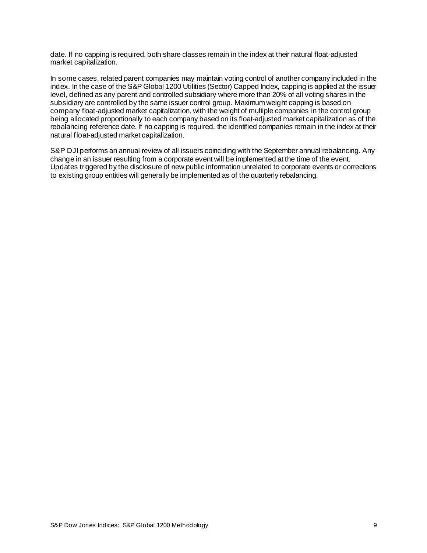date. If no capping is required, both share classes remain in the index at their natural float-adjusted market capitalization.

In some cases, related parent companies may maintain voting control of another company included in the index. In the case of the S&P Global 1200 Utilities (Sector) Capped Index, capping is applied at the issuer level, defined as any parent and controlled subsidiary where more than 20% of all voting shares in the subsidiary are controlled by the same issuer control group. Maximum weight capping is based on company float-adjusted market capitalization, with the weight of multiple companies in the control group being allocated proportionally to each company based on its float-adjusted market capitalization as of the rebalancing reference date. If no capping is required, the identified companies remain in the index at their natural float-adjusted market capitalization.

S&P DJI performs an annual review of all issuers coinciding with the September annual rebalancing. Any change in an issuer resulting from a corporate event will be implemented at the time of the event. Updates triggered by the disclosure of new public information unrelated to corporate events or corrections to existing group entities will generally be implemented as of the quarterly rebalancing.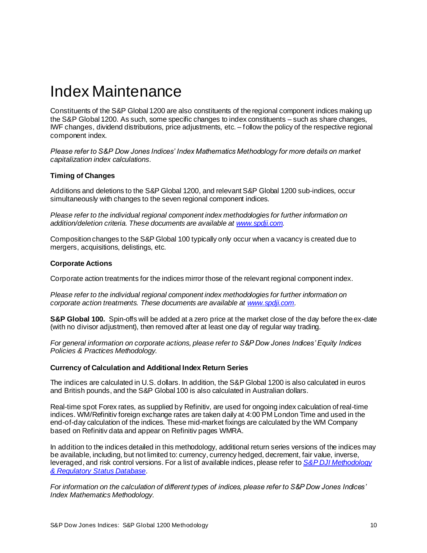### <span id="page-10-0"></span>Index Maintenance

Constituents of the S&P Global 1200 are also constituents of the regional component indices making up the S&P Global 1200. As such, some specific changes to index constituents – such as share changes, IWF changes, dividend distributions, price adjustments, etc. – follow the policy of the respective regional component index.

*Please refer to S&P Dow Jones Indices' Index Mathematics Methodology for more details on market capitalization index calculations*.

### <span id="page-10-1"></span>**Timing of Changes**

Additions and deletions to the S&P Global 1200, and relevant S&P Global 1200 sub-indices, occur simultaneously with changes to the seven regional component indices.

*Please refer to the individual regional component index methodologies for further information on addition/deletion criteria. These documents are available a[t www.spdji.com](http://www.spdji.com/).*

Composition changes to the S&P Global 100 typically only occur when a vacancy is created due to mergers, acquisitions, delistings, etc.

#### <span id="page-10-2"></span>**Corporate Actions**

Corporate action treatments for the indices mirror those of the relevant regional component index.

*Please refer to the individual regional component index methodologies for further information on corporate action treatments. These documents are available a[t www.spdji.com](http://www.spdji.com/).*

**S&P Global 100.** Spin-offs will be added at a zero price at the market close of the day before the ex-date (with no divisor adjustment), then removed after at least one day of regular way trading.

*For general information on corporate actions, please refer to S&P Dow Jones Indices' Equity Indices Policies & Practices Methodology.*

#### <span id="page-10-3"></span>**Currency of Calculation and Additional Index Return Series**

The indices are calculated in U.S. dollars. In addition, the S&P Global 1200 is also calculated in euros and British pounds, and the S&P Global 100 is also calculated in Australian dollars.

Real-time spot Forex rates, as supplied by Refinitiv, are used for ongoing index calculation of real-time indices. WM/Refinitiv foreign exchange rates are taken daily at 4:00 PM London Time and used in the end-of-day calculation of the indices. These mid-market fixings are calculated by the WM Company based on Refinitiv data and appear on Refinitiv pages WMRA.

In addition to the indices detailed in this methodology, additional return series versions of the indices may be available, including, but not limited to: currency, currency hedged, decrement, fair value, inverse, leveraged, and risk control versions. For a list of available indices, please refer to *[S&P DJI Methodology](https://www.spglobal.com/spdji/en/governance/methodology-and-regulatory-status/)  [& Regulatory Status Database](https://www.spglobal.com/spdji/en/governance/methodology-and-regulatory-status/)*.

*For information on the calculation of different types of indices, please refer to S&P Dow Jones Indices' Index Mathematics Methodology.*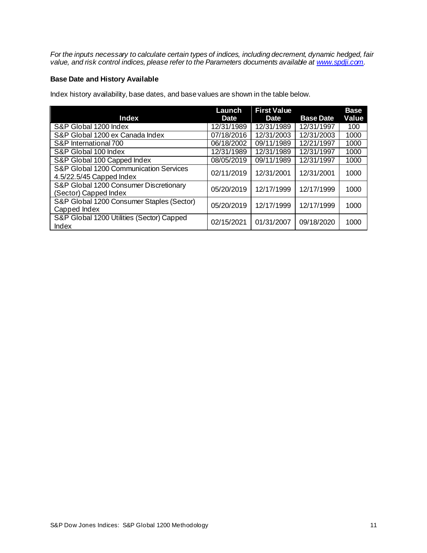*For the inputs necessary to calculate certain types of indices, including decrement, dynamic hedged, fair value, and risk control indices, please refer to the Parameters documents available a[t www.spdji.com](http://www.spdji.com/).*

### <span id="page-11-0"></span>**Base Date and History Available**

Index history availability, base dates, and base values are shown in the table below.

| <b>Index</b>                                                       | Launch<br><b>Date</b> | <b>First Value</b><br>Date | <b>Base Date</b> | <b>Base</b><br>Value |
|--------------------------------------------------------------------|-----------------------|----------------------------|------------------|----------------------|
| S&P Global 1200 Index                                              | 12/31/1989            | 12/31/1989                 | 12/31/1997       | 100                  |
| S&P Global 1200 ex Canada Index                                    | 07/18/2016            | 12/31/2003                 | 12/31/2003       | 1000                 |
| S&P International 700                                              | 06/18/2002            | 09/11/1989                 | 12/21/1997       | 1000                 |
| S&P Global 100 Index                                               | 12/31/1989            | 12/31/1989                 | 12/31/1997       | 1000                 |
| S&P Global 100 Capped Index                                        | 08/05/2019            | 09/11/1989                 | 12/31/1997       | 1000                 |
| S&P Global 1200 Communication Services<br>4.5/22.5/45 Capped Index | 02/11/2019            | 12/31/2001                 | 12/31/2001       | 1000                 |
| S&P Global 1200 Consumer Discretionary<br>(Sector) Capped Index    | 05/20/2019            | 12/17/1999                 | 12/17/1999       | 1000                 |
| S&P Global 1200 Consumer Staples (Sector)<br>Capped Index          | 05/20/2019            | 12/17/1999                 | 12/17/1999       | 1000                 |
| S&P Global 1200 Utilities (Sector) Capped<br>Index                 | 02/15/2021            | 01/31/2007                 | 09/18/2020       | 1000                 |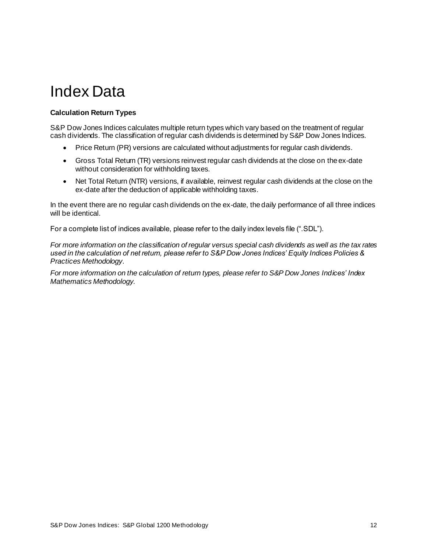### <span id="page-12-0"></span>Index Data

### <span id="page-12-1"></span>**Calculation Return Types**

S&P Dow Jones Indices calculates multiple return types which vary based on the treatment of regular cash dividends. The classification of regular cash dividends is determined by S&P Dow Jones Indices.

- Price Return (PR) versions are calculated without adjustments for regular cash dividends.
- Gross Total Return (TR) versions reinvest regular cash dividends at the close on the ex-date without consideration for withholding taxes.
- Net Total Return (NTR) versions, if available, reinvest regular cash dividends at the close on the ex-date after the deduction of applicable withholding taxes.

In the event there are no regular cash dividends on the ex-date, the daily performance of all three indices will be identical.

For a complete list of indices available, please refer to the daily index levels file (".SDL").

*For more information on the classification of regular versus special cash dividends as well as the tax rates used in the calculation of net return, please refer to S&P Dow Jones Indices' Equity Indices Policies & Practices Methodology*.

*For more information on the calculation of return types, please refer to S&P Dow Jones Indices' Index Mathematics Methodology.*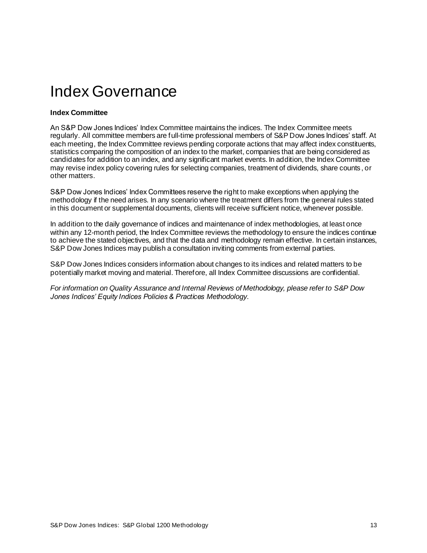### <span id="page-13-0"></span>Index Governance

### <span id="page-13-1"></span>**Index Committee**

An S&P Dow Jones Indices' Index Committee maintains the indices. The Index Committee meets regularly. All committee members are full-time professional members of S&P Dow Jones Indices' staff. At each meeting, the Index Committee reviews pending corporate actions that may affect index constituents, statistics comparing the composition of an index to the market, companies that are being considered as candidates for addition to an index, and any significant market events. In addition, the Index Committee may revise index policy covering rules for selecting companies, treatment of dividends, share counts , or other matters.

S&P Dow Jones Indices' Index Committees reserve the right to make exceptions when applying the methodology if the need arises. In any scenario where the treatment differs from the general rules stated in this document or supplemental documents, clients will receive sufficient notice, whenever possible.

In addition to the daily governance of indices and maintenance of index methodologies, at least once within any 12-month period, the Index Committee reviews the methodology to ensure the indices continue to achieve the stated objectives, and that the data and methodology remain effective. In certain instances, S&P Dow Jones Indices may publish a consultation inviting comments from external parties.

S&P Dow Jones Indices considers information about changes to its indices and related matters to be potentially market moving and material. Therefore, all Index Committee discussions are confidential.

*For information on Quality Assurance and Internal Reviews of Methodology, please refer to S&P Dow Jones Indices' Equity Indices Policies & Practices Methodology*.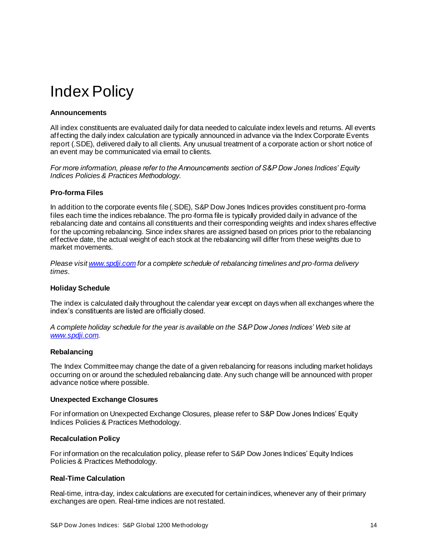### <span id="page-14-0"></span>Index Policy

### <span id="page-14-1"></span>**Announcements**

All index constituents are evaluated daily for data needed to calculate index levels and returns. All events affecting the daily index calculation are typically announced in advance via the Index Corporate Events report (.SDE), delivered daily to all clients. Any unusual treatment of a corporate action or short notice of an event may be communicated via email to clients.

*For more information, please refer to the Announcements section of S&P Dow Jones Indices' Equity Indices Policies & Practices Methodology.*

### <span id="page-14-2"></span>**Pro-forma Files**

In addition to the corporate events file (.SDE), S&P Dow Jones Indices provides constituent pro-forma files each time the indices rebalance. The pro-forma file is typically provided daily in advance of the rebalancing date and contains all constituents and their corresponding weights and index shares effective for the upcoming rebalancing. Since index shares are assigned based on prices prior to the rebalancing effective date, the actual weight of each stock at the rebalancing will differ from these weights due to market movements.

*Please visi[t www.spdji.com](http://www.spdji.com/) for a complete schedule of rebalancing timelines and pro-forma delivery times.*

#### <span id="page-14-3"></span>**Holiday Schedule**

The index is calculated daily throughout the calendar year except on days when all exchanges where the index's constituents are listed are officially closed.

*A complete holiday schedule for the year is available on the S&P Dow Jones Indices' Web site at [www.spdji.com.](http://www.spdji.com/)*

#### <span id="page-14-4"></span>**Rebalancing**

The Index Committee may change the date of a given rebalancing for reasons including market holidays occurring on or around the scheduled rebalancing date. Any such change will be announced with proper advance notice where possible.

#### <span id="page-14-5"></span>**Unexpected Exchange Closures**

For information on Unexpected Exchange Closures, please refer to S&P Dow Jones Indices' Equity Indices Policies & Practices Methodology.

#### <span id="page-14-6"></span>**Recalculation Policy**

For information on the recalculation policy, please refer to S&P Dow Jones Indices' Equity Indices Policies & Practices Methodology.

#### <span id="page-14-7"></span>**Real-Time Calculation**

Real-time, intra-day, index calculations are executed for certain indices, whenever any of their primary exchanges are open. Real-time indices are not restated.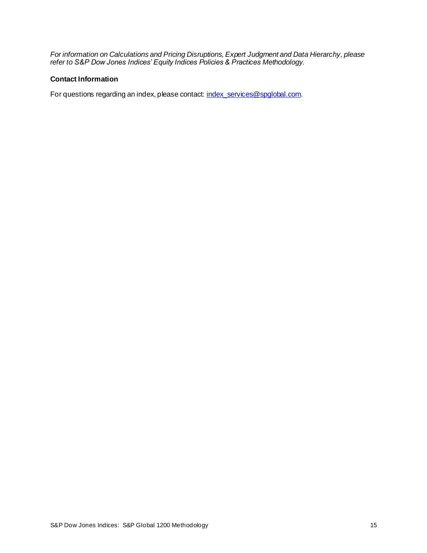*For information on Calculations and Pricing Disruptions, Expert Judgment and Data Hierarchy, please refer to S&P Dow Jones Indices' Equity Indices Policies & Practices Methodology.*

### <span id="page-15-0"></span>**Contact Information**

For questions regarding an index, please contact[: index\\_services@spglobal.com](mailto:index_services@spglobal.com).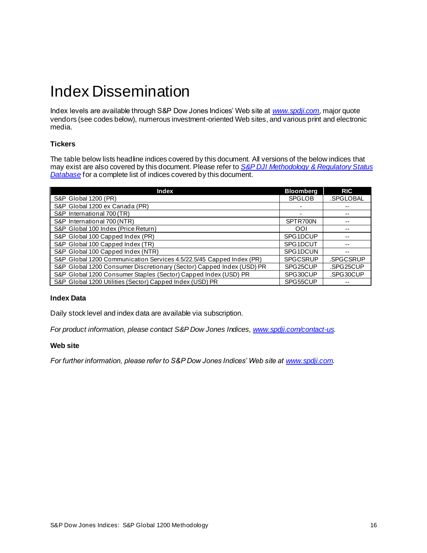### <span id="page-16-0"></span>Index Dissemination

Index levels are available through S&P Dow Jones Indices' Web site at *[www.spdji.com](http://www.spdji.com/),* major quote vendors (see codes below), numerous investment-oriented Web sites, and various print and electronic media.

### <span id="page-16-1"></span>**Tickers**

The table below lists headline indices covered by this document. All versions of the below indices that may exist are also covered by this document. Please refer to *[S&P DJI Methodology & Regulatory Status](https://www.spglobal.com/spdji/en/governance/methodology-and-regulatory-status/)  [Database](https://www.spglobal.com/spdji/en/governance/methodology-and-regulatory-status/)* for a complete list of indices covered by this document.

| <b>Index</b>                                                          | <b>Bloomberg</b> | <b>RIC</b> |
|-----------------------------------------------------------------------|------------------|------------|
| S&P Global 1200 (PR)                                                  | <b>SPGLOB</b>    | .SPGLOBAL  |
| S&P Global 1200 ex Canada (PR)                                        |                  |            |
| S&P International 700 (TR)                                            |                  | --         |
| S&P International 700 (NTR)                                           | SPTR700N         | --         |
| S&P Global 100 Index (Price Return)                                   | <b>OOI</b>       |            |
| S&P Global 100 Capped Index (PR)                                      | SPG1DCUP         |            |
| S&P Global 100 Capped Index (TR)                                      | SPG1DCUT         |            |
| S&P Global 100 Capped Index (NTR)                                     | SPG1DCUN         | --         |
| S&P Global 1200 Communication Services 4.5/22.5/45 Capped Index (PR)  | <b>SPGCSRUP</b>  | .SPGCSRUP  |
| S&P Global 1200 Consumer Discretionary (Sector) Capped Index (USD) PR | SPG25CUP         | .SPG25CUP  |
| S&P Global 1200 Consumer Staples (Sector) Capped Index (USD) PR       | SPG30CUP         | .SPG30CUP  |
| S&P Global 1200 Utilities (Sector) Capped Index (USD) PR              | SPG55CUP         |            |

#### <span id="page-16-2"></span>**Index Data**

Daily stock level and index data are available via subscription.

<span id="page-16-3"></span>*For product information, please contact S&P Dow Jones Indices[, www.spdji.com/contact-us](http://www.spdji.com/contact-us).* 

### **Web site**

*For further information, please refer to S&P Dow Jones Indices' Web site a[t www.spdji.com](http://www.spdji.com/).*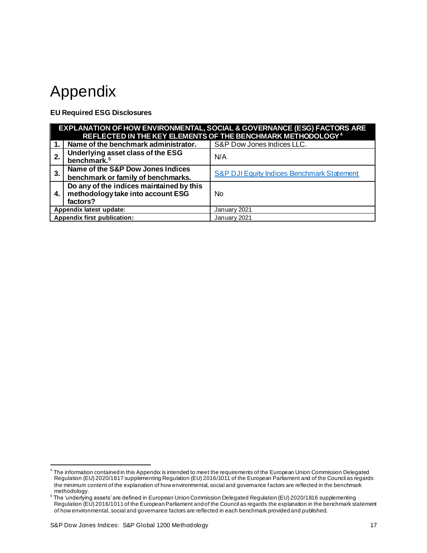### <span id="page-17-0"></span>Appendix

### <span id="page-17-1"></span>**EU Required ESG Disclosures**

| <b>EXPLANATION OF HOW ENVIRONMENTAL, SOCIAL &amp; GOVERNANCE (ESG) FACTORS ARE</b><br>REFLECTED IN THE KEY ELEMENTS OF THE BENCHMARK METHODOLOGY <sup>4</sup> |                                                                                           |                                                       |  |
|---------------------------------------------------------------------------------------------------------------------------------------------------------------|-------------------------------------------------------------------------------------------|-------------------------------------------------------|--|
|                                                                                                                                                               | Name of the benchmark administrator.                                                      | S&P Dow Jones Indices LLC.                            |  |
| 2.                                                                                                                                                            | Underlying asset class of the ESG<br>benchmark. <sup>5</sup>                              | N/A                                                   |  |
| 3.                                                                                                                                                            | Name of the S&P Dow Jones Indices<br>benchmark or family of benchmarks.                   | <b>S&amp;P DJI Equity Indices Benchmark Statement</b> |  |
| 4.                                                                                                                                                            | Do any of the indices maintained by this<br>methodology take into account ESG<br>factors? | No                                                    |  |
| Appendix latest update:                                                                                                                                       |                                                                                           | January 2021                                          |  |
| Appendix first publication:                                                                                                                                   |                                                                                           | January 2021                                          |  |

<sup>&</sup>lt;sup>4</sup> The information contained in this Appendix is intended to meet the requirements of the European Union Commission Delegated Regulation (EU) 2020/1817 supplementing Regulation (EU) 2016/1011 of the European Parliament and of the Council as regards the minimum content of the explanation of how environmental, social and governance factors are reflected in the benchmark methodology. 5 The 'underlying assets' are defined in European Union Commission Delegated Regulation (EU) 2020/1816 supplementing

Regulation (EU) 2016/1011 of the European Parliament and of the Council as regards the explanation in the benchmark statement of how environmental, social and governance factors are reflected in each benchmark provided and published.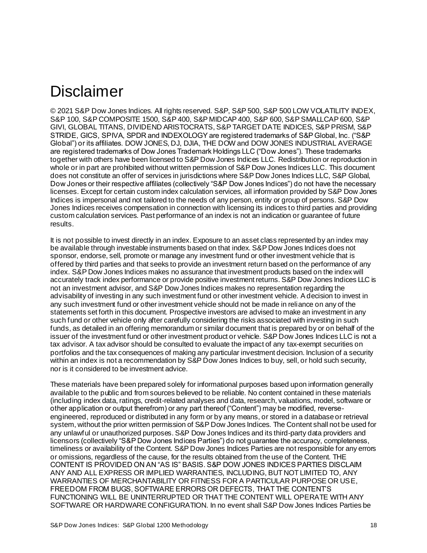### <span id="page-18-0"></span>Disclaimer

© 2021 S&P Dow Jones Indices. All rights reserved. S&P, S&P 500, S&P 500 LOW VOLATILITY INDEX, S&P 100, S&P COMPOSITE 1500, S&P 400, S&P MIDCAP 400, S&P 600, S&P SMALLCAP 600, S&P GIVI, GLOBAL TITANS, DIVIDEND ARISTOCRATS, S&P TARGET DATE INDICES, S&P PRISM, S&P STRIDE, GICS, SPIVA, SPDR and INDEXOLOGY are registered trademarks of S&P Global, Inc. ("S&P Global") or its affiliates. DOW JONES, DJ, DJIA, THE DOW and DOW JONES INDUSTRIAL AVERAGE are registered trademarks of Dow Jones Trademark Holdings LLC ("Dow Jones"). These trademarks together with others have been licensed to S&P Dow Jones Indices LLC. Redistribution or reproduction in whole or in part are prohibited without written permission of S&P Dow Jones Indices LLC. This document does not constitute an offer of services in jurisdictions where S&P Dow Jones Indices LLC, S&P Global, Dow Jones or their respective affiliates (collectively "S&P Dow Jones Indices") do not have the necessary licenses. Except for certain custom index calculation services, all information provided by S&P Dow Jones Indices is impersonal and not tailored to the needs of any person, entity or group of persons. S&P Dow Jones Indices receives compensation in connection with licensing its indices to third parties and providing custom calculation services. Past performance of an index is not an indication or guarantee of future results.

It is not possible to invest directly in an index. Exposure to an asset class represented by an index may be available through investable instruments based on that index. S&P Dow Jones Indices does not sponsor, endorse, sell, promote or manage any investment fund or other investment vehicle that is offered by third parties and that seeks to provide an investment return based on the performance of any index. S&P Dow Jones Indices makes no assurance that investment products based on the index will accurately track index performance or provide positive investment returns. S&P Dow Jones Indices LLC is not an investment advisor, and S&P Dow Jones Indices makes no representation regarding the advisability of investing in any such investment fund or other investment vehicle. A decision to invest in any such investment fund or other investment vehicle should not be made in reliance on any of the statements set forth in this document. Prospective investors are advised to make an investment in any such fund or other vehicle only after carefully considering the risks associated with investing in such funds, as detailed in an offering memorandum or similar document that is prepared by or on behalf of the issuer of the investment fund or other investment product or vehicle. S&P Dow Jones Indices LLC is not a tax advisor. A tax advisor should be consulted to evaluate the impact of any tax-exempt securities on portfolios and the tax consequences of making any particular investment decision. Inclusion of a security within an index is not a recommendation by S&P Dow Jones Indices to buy, sell, or hold such security, nor is it considered to be investment advice.

These materials have been prepared solely for informational purposes based upon information generally available to the public and from sources believed to be reliable. No content contained in these materials (including index data, ratings, credit-related analyses and data, research, valuations, model, software or other application or output therefrom) or any part thereof ("Content") may be modified, reverseengineered, reproduced or distributed in any form or by any means, or stored in a database or retrieval system, without the prior written permission of S&P Dow Jones Indices. The Content shall not be used for any unlawful or unauthorized purposes. S&P Dow Jones Indices and its third-party data providers and licensors (collectively "S&P Dow Jones Indices Parties") do not guarantee the accuracy, completeness, timeliness or availability of the Content. S&P Dow Jones Indices Parties are not responsible for any errors or omissions, regardless of the cause, for the results obtained from the use of the Content. THE CONTENT IS PROVIDED ON AN "AS IS" BASIS. S&P DOW JONES INDICES PARTIES DISCLAIM ANY AND ALL EXPRESS OR IMPLIED WARRANTIES, INCLUDING, BUT NOT LIMITED TO, ANY WARRANTIES OF MERCHANTABILITY OR FITNESS FOR A PARTICULAR PURPOSE OR USE, FREEDOM FROM BUGS, SOFTWARE ERRORS OR DEFECTS, THAT THE CONTENT'S FUNCTIONING WILL BE UNINTERRUPTED OR THAT THE CONTENT WILL OPERATE WITH ANY SOFTWARE OR HARDWARE CONFIGURATION. In no event shall S&P Dow Jones Indices Parties be